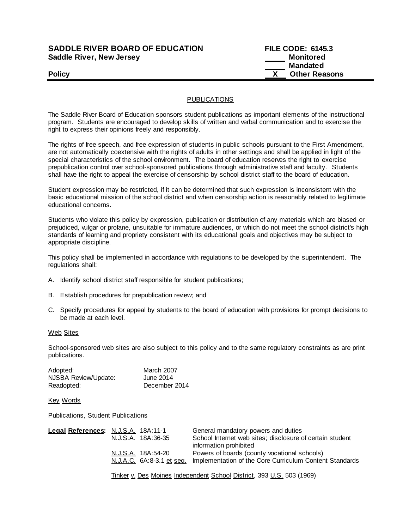## **SADDLE RIVER BOARD OF EDUCATION Saddle River, New Jersey**

| <b>SADDLE RIVER BOARD OF EDUCATION</b> | <b>FILE CODE: 6145.3</b> |
|----------------------------------------|--------------------------|
| Saddle River, New Jersey               | Monitored                |
|                                        | Mandated                 |
| <b>Policy</b>                          | <b>Other Reasons</b>     |

## PUBLICATIONS

The Saddle River Board of Education sponsors student publications as important elements of the instructional program. Students are encouraged to develop skills of written and verbal communication and to exercise the right to express their opinions freely and responsibly.

The rights of free speech, and free expression of students in public schools pursuant to the First Amendment, are not automatically coextensive with the rights of adults in other settings and shall be applied in light of the special characteristics of the school environment. The board of education reserves the right to exercise prepublication control over school-sponsored publications through administrative staff and faculty. Students shall have the right to appeal the exercise of censorship by school district staff to the board of education.

Student expression may be restricted, if it can be determined that such expression is inconsistent with the basic educational mission of the school district and when censorship action is reasonably related to legitimate educational concerns.

Students who violate this policy by expression, publication or distribution of any materials which are biased or prejudiced, vulgar or profane, unsuitable for immature audiences, or which do not meet the school district's high standards of learning and propriety consistent with its educational goals and objectives may be subject to appropriate discipline.

This policy shall be implemented in accordance with regulations to be developed by the superintendent. The regulations shall:

- A. Identify school district staff responsible for student publications;
- B. Establish procedures for prepublication review; and
- C. Specify procedures for appeal by students to the board of education with provisions for prompt decisions to be made at each level.

Web Sites

School-sponsored web sites are also subject to this policy and to the same regulatory constraints as are print publications.

| Adopted:             | <b>March 2007</b> |
|----------------------|-------------------|
| NJSBA Review/Update: | June 2014         |
| Readopted:           | December 2014     |

Key Words

Publications, Student Publications

| Legal References: N.J.S.A. 18A:11-1 |                           | General mandatory powers and duties                      |
|-------------------------------------|---------------------------|----------------------------------------------------------|
|                                     | N.J.S.A. 18A:36-35        | School Internet web sites; disclosure of certain student |
|                                     |                           | information prohibited                                   |
|                                     | N.J.S.A. 18A:54-20        | Powers of boards (county vocational schools)             |
|                                     | N.J.A.C. 6A:8-3.1 et seq. | Implementation of the Core Curriculum Content Standards  |
|                                     |                           |                                                          |

Tinker v. Des Moines Independent School District, 393 U.S. 503 (1969)